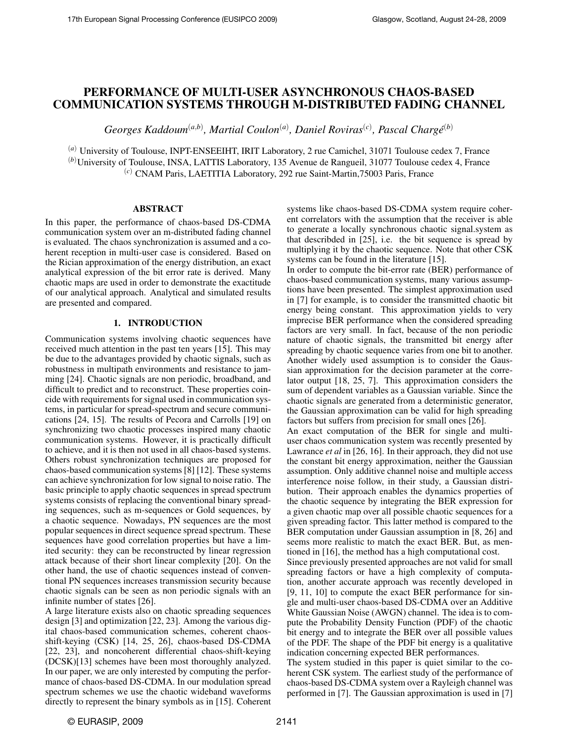# PERFORMANCE OF MULTI-USER ASYNCHRONOUS CHAOS-BASED COMMUNICATION SYSTEMS THROUGH M-DISTRIBUTED FADING CHANNEL

 $Georges$  Kaddoum<sup>(a,b)</sup>, Martial Coulon<sup>(a)</sup>, Daniel Roviras<sup>(c)</sup>, Pascal Chargé<sup>(b)</sup>

(*a*) University of Toulouse, INPT-ENSEEIHT, IRIT Laboratory, 2 rue Camichel, 31071 Toulouse cedex 7, France (*b*)University of Toulouse, INSA, LATTIS Laboratory, 135 Avenue de Rangueil, 31077 Toulouse cedex 4, France (*c*) CNAM Paris, LAETITIA Laboratory, 292 rue Saint-Martin,75003 Paris, France

## ABSTRACT

In this paper, the performance of chaos-based DS-CDMA communication system over an m-distributed fading channel is evaluated. The chaos synchronization is assumed and a coherent reception in multi-user case is considered. Based on the Rician approximation of the energy distribution, an exact analytical expression of the bit error rate is derived. Many chaotic maps are used in order to demonstrate the exactitude of our analytical approach. Analytical and simulated results are presented and compared.

## 1. INTRODUCTION

Communication systems involving chaotic sequences have received much attention in the past ten years [15]. This may be due to the advantages provided by chaotic signals, such as robustness in multipath environments and resistance to jamming [24]. Chaotic signals are non periodic, broadband, and difficult to predict and to reconstruct. These properties coincide with requirements for signal used in communication systems, in particular for spread-spectrum and secure communications [24, 15]. The results of Pecora and Carrolls [19] on synchronizing two chaotic processes inspired many chaotic communication systems. However, it is practically difficult to achieve, and it is then not used in all chaos-based systems. Others robust synchronization techniques are proposed for chaos-based communication systems [8] [12]. These systems can achieve synchronization for low signal to noise ratio. The basic principle to apply chaotic sequences in spread spectrum systems consists of replacing the conventional binary spreading sequences, such as m-sequences or Gold sequences, by a chaotic sequence. Nowadays, PN sequences are the most popular sequences in direct sequence spread spectrum. These sequences have good correlation properties but have a limited security: they can be reconstructed by linear regression attack because of their short linear complexity [20]. On the other hand, the use of chaotic sequences instead of conventional PN sequences increases transmission security because chaotic signals can be seen as non periodic signals with an infinite number of states [26].

A large literature exists also on chaotic spreading sequences design [3] and optimization [22, 23]. Among the various digital chaos-based communication schemes, coherent chaosshift-keying (CSK) [14, 25, 26], chaos-based DS-CDMA [22, 23], and noncoherent differential chaos-shift-keying (DCSK)[13] schemes have been most thoroughly analyzed. In our paper, we are only interested by computing the performance of chaos-based DS-CDMA. In our modulation spread spectrum schemes we use the chaotic wideband waveforms directly to represent the binary symbols as in [15]. Coherent systems like chaos-based DS-CDMA system require coherent correlators with the assumption that the receiver is able to generate a locally synchronous chaotic signal.system as that describded in [25], i.e. the bit sequence is spread by multiplying it by the chaotic sequence. Note that other CSK systems can be found in the literature [15].

In order to compute the bit-error rate (BER) performance of chaos-based communication systems, many various assumptions have been presented. The simplest approximation used in [7] for example, is to consider the transmitted chaotic bit energy being constant. This approximation yields to very imprecise BER performance when the considered spreading factors are very small. In fact, because of the non periodic nature of chaotic signals, the transmitted bit energy after spreading by chaotic sequence varies from one bit to another. Another widely used assumption is to consider the Gaussian approximation for the decision parameter at the correlator output [18, 25, 7]. This approximation considers the sum of dependent variables as a Gaussian variable. Since the chaotic signals are generated from a deterministic generator, the Gaussian approximation can be valid for high spreading factors but suffers from precision for small ones [26].

An exact computation of the BER for single and multiuser chaos communication system was recently presented by Lawrance *et al* in [26, 16]. In their approach, they did not use the constant bit energy approximation, neither the Gaussian assumption. Only additive channel noise and multiple access interference noise follow, in their study, a Gaussian distribution. Their approach enables the dynamics properties of the chaotic sequence by integrating the BER expression for a given chaotic map over all possible chaotic sequences for a given spreading factor. This latter method is compared to the BER computation under Gaussian assumption in [8, 26] and seems more realistic to match the exact BER. But, as mentioned in [16], the method has a high computational cost.

Since previously presented approaches are not valid for small spreading factors or have a high complexity of computation, another accurate approach was recently developed in [9, 11, 10] to compute the exact BER performance for single and multi-user chaos-based DS-CDMA over an Additive White Gaussian Noise (AWGN) channel. The idea is to compute the Probability Density Function (PDF) of the chaotic bit energy and to integrate the BER over all possible values of the PDF. The shape of the PDF bit energy is a qualitative indication concerning expected BER performances.

The system studied in this paper is quiet similar to the coherent CSK system. The earliest study of the performance of chaos-based DS-CDMA system over a Rayleigh channel was performed in [7]. The Gaussian approximation is used in [7]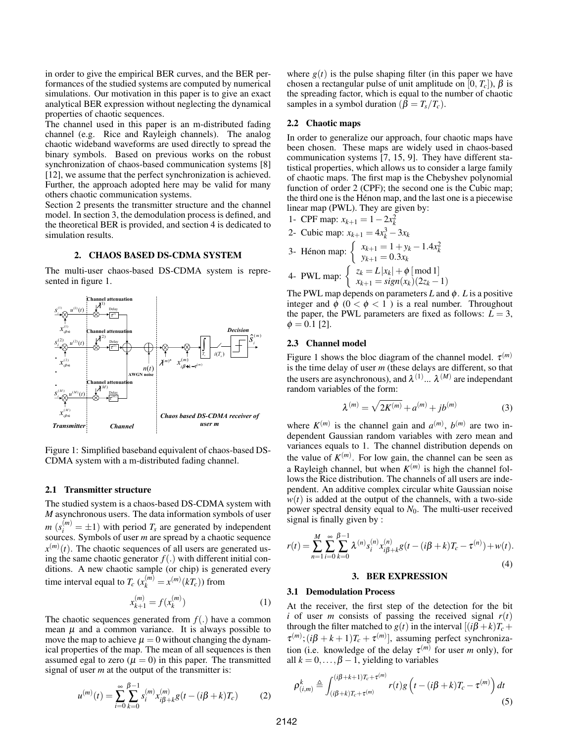in order to give the empirical BER curves, and the BER performances of the studied systems are computed by numerical simulations. Our motivation in this paper is to give an exact analytical BER expression without neglecting the dynamical properties of chaotic sequences.

The channel used in this paper is an m-distributed fading channel (e.g. Rice and Rayleigh channels). The analog chaotic wideband waveforms are used directly to spread the binary symbols. Based on previous works on the robust synchronization of chaos-based communication systems [8] [12], we assume that the perfect synchronization is achieved. Further, the approach adopted here may be valid for many others chaotic communication systems.

Section 2 presents the transmitter structure and the channel model. In section 3, the demodulation process is defined, and the theoretical BER is provided, and section 4 is dedicated to simulation results.

### 2. CHAOS BASED DS-CDMA SYSTEM

The multi-user chaos-based DS-CDMA system is represented in figure 1.



Figure 1: Simplified baseband equivalent of chaos-based DS-CDMA system with a m-distributed fading channel.

### 2.1 Transmitter structure

The studied system is a chaos-based DS-CDMA system with *M* asynchronous users. The data information symbols of user  $m$  ( $s_i^{(m)} = \pm 1$ ) with period  $T_s$  are generated by independent sources. Symbols of user *m* are spread by a chaotic sequence  $x<sup>(m)</sup>(t)$ . The chaotic sequences of all users are generated using the same chaotic generator  $f(.)$  with different initial conditions. A new chaotic sample (or chip) is generated every time interval equal to  $T_c$  ( $x_k^{(m)} = x^{(m)}(kT_c)$ ) from

$$
x_{k+1}^{(m)} = f(x_k^{(m)})
$$
 (1)

The chaotic sequences generated from *f*(.) have a common mean  $\mu$  and a common variance. It is always possible to move the map to achieve  $\mu = 0$  without changing the dynamical properties of the map. The mean of all sequences is then assumed egal to zero ( $\mu = 0$ ) in this paper. The transmitted signal of user *m* at the output of the transmitter is:

$$
u^{(m)}(t) = \sum_{i=0}^{\infty} \sum_{k=0}^{\beta-1} s_i^{(m)} x_{i\beta+k}^{(m)} g(t - (i\beta + k)T_c)
$$
 (2)

where  $g(t)$  is the pulse shaping filter (in this paper we have chosen a rectangular pulse of unit amplitude on [0,  $T_c$ ]),  $\beta$  is the spreading factor, which is equal to the number of chaotic samples in a symbol duration ( $\beta = T_s/T_c$ ).

# 2.2 Chaotic maps

In order to generalize our approach, four chaotic maps have been chosen. These maps are widely used in chaos-based communication systems [7, 15, 9]. They have different statistical properties, which allows us to consider a large family of chaotic maps. The first map is the Chebyshev polynomial function of order 2 (CPF); the second one is the Cubic map; the third one is the Henon map, and the last one is a piecewise ´ linear map (PWL). They are given by:

1- CPF map: 
$$
x_{k+1} = 1 - 2x_k^2
$$

2- Cubic map: 
$$
x_{k+1} = 4x_k^3 - 3x_k
$$

3- Hénon map: 
$$
\begin{cases} x_{k+1} = 1 + y_k - 1.4x_k^2 \\ y_{k+1} = 0.3x_k \end{cases}
$$
  
4- PWL map: 
$$
\begin{cases} z_k = L|x_k| + \phi \mod 1 \\ x_{k+1} = sign(x_k)(2z_k - 1) \end{cases}
$$

The PWL map depends on parameters  $L$  and  $\phi$ .  $L$  is a positive integer and  $\phi$  ( $0 < \phi < 1$ ) is a real number. Throughout the paper, the PWL parameters are fixed as follows:  $L = 3$ ,  $\phi = 0.1$  [2].

#### 2.3 Channel model

Figure 1 shows the bloc diagram of the channel model.  $\tau^{(m)}$ is the time delay of user *m* (these delays are different, so that the users are asynchronous), and  $\lambda^{(1)}$ ...  $\lambda^{(M)}$  are independant random variables of the form:

$$
\lambda^{(m)} = \sqrt{2K^{(m)}} + a^{(m)} + jb^{(m)}
$$
 (3)

where  $K^{(m)}$  is the channel gain and  $a^{(m)}$ ,  $b^{(m)}$  are two independent Gaussian random variables with zero mean and variances equals to 1. The channel distribution depends on the value of  $K^{(m)}$ . For low gain, the channel can be seen as a Rayleigh channel, but when  $K^{(m)}$  is high the channel follows the Rice distribution. The channels of all users are independent. An additive complex circular white Gaussian noise  $w(t)$  is added at the output of the channels, with a two-side power spectral density equal to *N*<sub>0</sub>. The multi-user received signal is finally given by :

$$
r(t) = \sum_{n=1}^{M} \sum_{i=0}^{\infty} \sum_{k=0}^{\beta-1} \lambda^{(n)} s_i^{(n)} x_{i\beta+k}^{(n)} g(t - (i\beta + k)T_c - \tau^{(n)}) + w(t).
$$
\n(4)

# 3.1 Demodulation Process

At the receiver, the first step of the detection for the bit *i* of user *m* consists of passing the received signal  $r(t)$ through the filter matched to  $g(t)$  in the interval  $[(i\beta + k)T_c +$  $\tau^{(m)}$ ;  $(i\beta + k + 1)T_c + \tau^{(m)}$ ], assuming perfect synchronization (i.e. knowledge of the delay  $\tau^{(m)}$  for user *m* only), for all  $k = 0, \ldots, \beta - 1$ , yielding to variables

$$
\rho_{(i,m)}^k \triangleq \int_{(i\beta+k)T_c+\tau^{(m)}}^{(i\beta+k+1)T_c+\tau^{(m)}} r(t)g\left(t - (i\beta+k)T_c - \tau^{(m)}\right)dt
$$
\n(5)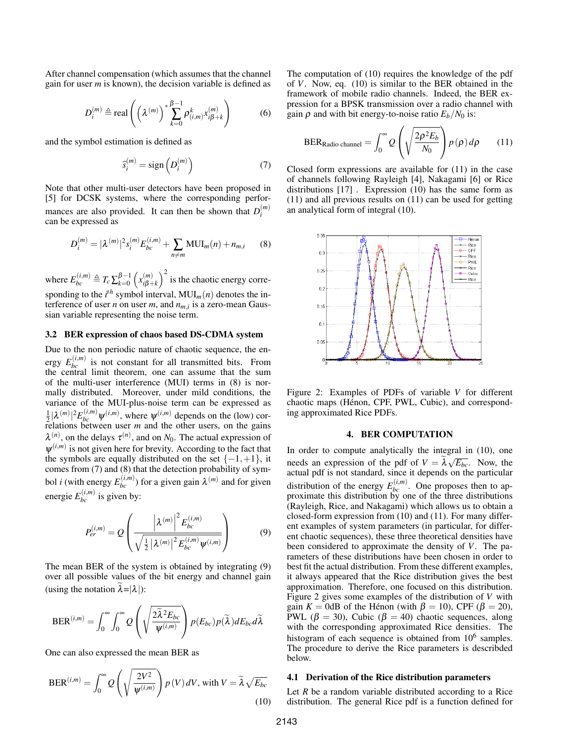After channel compensation (which assumes that the channel gain for user *m* is known), the decision variable is defined as

$$
D_i^{(m)} \triangleq \text{real}\left(\left(\lambda^{(m)}\right)^* \sum_{k=0}^{\beta-1} \rho_{(i,m)}^k x_{i\beta+k}^{(m)}\right) \tag{6}
$$

and the symbol estimation is defined as

$$
\widehat{s}_i^{(m)} = \text{sign}\left(D_i^{(m)}\right) \tag{7}
$$

Note that other multi-user detectors have been proposed in [5] for DCSK systems, where the corresponding performances are also provided. It can then be shown that  $D_i^{(m)}$ *i* can be expressed as

$$
D_i^{(m)} = |\lambda^{(m)}|^2 s_i^{(m)} E_{bc}^{(i,m)} + \sum_{n \neq m} \text{MUI}_m(n) + n_{m,i} \qquad (8)
$$

where  $E_{bc}^{(i,m)} \triangleq T_c \sum_{k=0}^{\beta-1} \left( x_{i\beta+1}^{(m)} \right)$  $\binom{m}{i\beta+k}^2$  is the chaotic energy corresponding to the  $i^{th}$  symbol interval,  $MUI_m(n)$  denotes the interference of user *n* on user *m*, and  $n_{m,i}$  is a zero-mean Gaussian variable representing the noise term.

## 3.2 BER expression of chaos based DS-CDMA system

Due to the non periodic nature of chaotic sequence, the energy  $E_{bc}^{(i,m)}$  is not constant for all transmitted bits. From the central limit theorem, one can assume that the sum of the multi-user interference (MUI) terms in (8) is normally distributed. Moreover, under mild conditions, the variance of the MUI-plus-noise term can be expressed as  $\frac{1}{2}|\lambda^{(m)}|^2 E_{bc}^{(i,m)} \psi^{(i,m)}$ , where  $\psi^{(i,m)}$  depends on the (low) correlations between user *m* and the other users, on the gains  $\lambda^{(n)}$ , on the delays  $\tau^{(n)}$ , and on *N*<sub>0</sub>. The actual expression of  $\psi^{(i,m)}$  is not given here for brevity. According to the fact that the symbols are equally distributed on the set  $\{-1,+1\}$ , it comes from (7) and (8) that the detection probability of symbol *i* (with energy  $E_{bc}^{(i,m)}$ ) for a given gain  $\lambda^{(m)}$  and for given energie  $E_{bc}^{(i,m)}$  is given by:

$$
P_{er}^{(i,m)} = Q\left(\frac{|\lambda^{(m)}|^{2} E_{bc}^{(i,m)}}{\sqrt{\frac{1}{2} |\lambda^{(m)}|^{2} E_{bc}^{(i,m)} \psi^{(i,m)}}}\right) \tag{9}
$$

The mean BER of the system is obtained by integrating (9) over all possible values of the bit energy and channel gain (using the notation  $\lambda = |\lambda|$ ):

$$
\text{BER}^{(i,m)} = \int_0^\infty \int_0^\infty Q\left(\sqrt{\frac{2\widetilde{\lambda}^2 E_{bc}}{\psi^{(i,m)}}}\right) p(E_{bc}) p(\widetilde{\lambda}) dE_{bc} d\widetilde{\lambda}
$$

One can also expressed the mean BER as

$$
\text{BER}^{(i,m)} = \int_0^\infty Q\left(\sqrt{\frac{2V^2}{\psi^{(i,m)}}}\right) p(V) \, dV, \text{ with } V = \tilde{\lambda} \sqrt{E_{bc}} \tag{10}
$$

The computation of (10) requires the knowledge of the pdf of *V*. Now, eq. (10) is similar to the BER obtained in the framework of mobile radio channels. Indeed, the BER expression for a BPSK transmission over a radio channel with gain  $\rho$  and with bit energy-to-noise ratio  $E_b/N_0$  is:

$$
BER_{\text{Radio channel}} = \int_0^\infty Q\left(\sqrt{\frac{2\rho^2 E_b}{N_0}}\right) p(\rho) d\rho \qquad (11)
$$

Closed form expressions are available for (11) in the case of channels following Rayleigh [4], Nakagami [6] or Rice distributions [17] . Expression (10) has the same form as (11) and all previous results on (11) can be used for getting an analytical form of integral (10).



Figure 2: Examples of PDFs of variable *V* for different chaotic maps (Hénon, CPF, PWL, Cubic), and corresponding approximated Rice PDFs.

#### 4. BER COMPUTATION

In order to compute analytically the integral in (10), one needs an expression of the pdf of  $V = \lambda \sqrt{E_{bc}}$ . Now, the actual pdf is not standard, since it depends on the particular distribution of the energy  $E_{bc}^{(i,m)}$ . One proposes then to approximate this distribution by one of the three distributions (Rayleigh, Rice, and Nakagami) which allows us to obtain a closed-form expression from (10) and (11). For many different examples of system parameters (in particular, for different chaotic sequences), these three theoretical densities have been considered to approximate the density of *V*. The parameters of these distributions have been chosen in order to best fit the actual distribution. From these different examples, it always appeared that the Rice distribution gives the best approximation. Therefore, one focused on this distribution. Figure 2 gives some examples of the distribution of *V* with gain  $K = 0$ dB of the Hénon (with  $\beta = 10$ ), CPF ( $\beta = 20$ ), PWL ( $\beta$  = 30), Cubic ( $\beta$  = 40) chaotic sequences, along with the corresponding approximated Rice densities. The histogram of each sequence is obtained from  $10^6$  samples. The procedure to derive the Rice parameters is describded below.

#### 4.1 Derivation of the Rice distribution parameters

Let *R* be a random variable distributed according to a Rice distribution. The general Rice pdf is a function defined for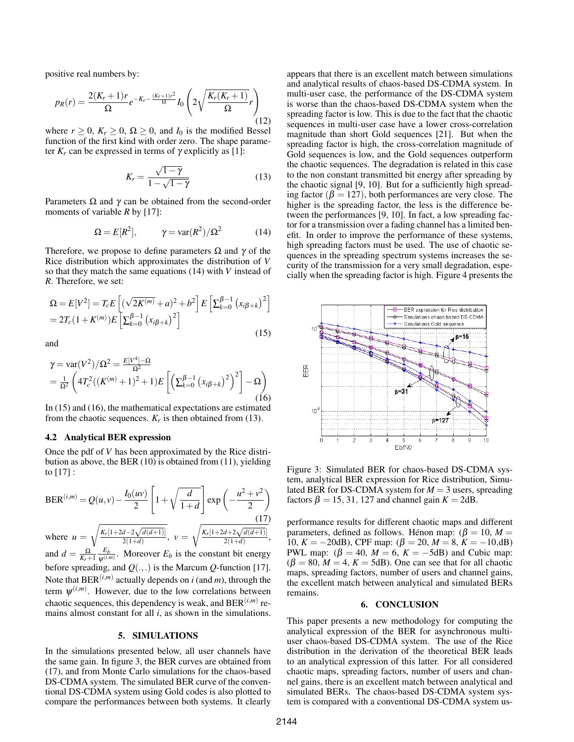positive real numbers by:

$$
p_R(r) = \frac{2(K_r + 1)r}{\Omega} e^{-K_r - \frac{(K_r + 1)r^2}{\Omega}} I_0 \left( 2\sqrt{\frac{K_r(K_r + 1)}{\Omega}} r \right)
$$
(12)

where  $r \geq 0$ ,  $K_r \geq 0$ ,  $\Omega \geq 0$ , and  $I_0$  is the modified Bessel function of the first kind with order zero. The shape parameter  $K_r$  can be expressed in terms of  $\gamma$  explicitly as [1]:

$$
K_r = \frac{\sqrt{1-\gamma}}{1-\sqrt{1-\gamma}}
$$
 (13)

Parameters  $\Omega$  and  $\gamma$  can be obtained from the second-order moments of variable *R* by [17]:

$$
\Omega = E[R^2], \qquad \gamma = \text{var}(R^2) / \Omega^2 \tag{14}
$$

Therefore, we propose to define parameters  $\Omega$  and  $\gamma$  of the Rice distribution which approximates the distribution of *V* so that they match the same equations (14) with *V* instead of *R*. Therefore, we set:

$$
\Omega = E[V^2] = T_c E \left[ (\sqrt{2K^{(m)}} + a)^2 + b^2 \right] E \left[ \sum_{k=0}^{\beta - 1} (x_{i\beta + k})^2 \right]
$$
  
=  $2T_c (1 + K^{(m)}) E \left[ \sum_{k=0}^{\beta - 1} (x_{i\beta + k})^2 \right]$  (15)

and

$$
\gamma = \text{var}(V^2) / \Omega^2 = \frac{E[V^4] - \Omega}{\Omega^2}
$$
  
=  $\frac{1}{\Omega^2} \left( 4T_c^2 ((K^{(m)} + 1)^2 + 1) E \left[ \left( \sum_{k=0}^{\beta - 1} (x_{i\beta + k})^2 \right)^2 \right] - \Omega \right)$  (16)

In (15) and (16), the mathematical expectations are estimated from the chaotic sequences.  $K_r$  is then obtained from (13).

## 4.2 Analytical BER expression

Once the pdf of *V* has been approximated by the Rice distribution as above, the BER (10) is obtained from (11), yielding to  $[17]$ :

$$
BER^{(i,m)} = Q(u,v) - \frac{I_0(uv)}{2} \left[ 1 + \sqrt{\frac{d}{1+d}} \right] \exp\left(-\frac{u^2 + v^2}{2}\right)
$$
  
where  $u = \sqrt{\frac{K_r[1+2d-2\sqrt{d(d+1)}]}{2(1+d)}}, v = \sqrt{\frac{K_r[1+2d+2\sqrt{d(d+1)}]}{2(1+d)}},$ 

and  $d = \frac{\Omega}{K_r+1} \frac{E_b}{\psi^{(i,r)}}$  $\frac{E_b}{\psi^{(i,m)}}$ . Moreover  $E_b$  is the constant bit energy before spreading, and  $Q(.,.)$  is the Marcum *Q*-function [17]. Note that  $BER^{(i,m)}$  actually depends on *i* (and *m*), through the term  $\psi^{(i,m)}$ . However, due to the low correlations between chaotic sequences, this dependency is weak, and BER(*i*,*m*) remains almost constant for all *i*, as shown in the simulations.

#### 5. SIMULATIONS

In the simulations presented below, all user channels have the same gain. In figure 3, the BER curves are obtained from (17), and from Monte Carlo simulations for the chaos-based DS-CDMA system. The simulated BER curve of the conventional DS-CDMA system using Gold codes is also plotted to compare the performances between both systems. It clearly appears that there is an excellent match between simulations and analytical results of chaos-based DS-CDMA system. In multi-user case, the performance of the DS-CDMA system is worse than the chaos-based DS-CDMA system when the spreading factor is low. This is due to the fact that the chaotic sequences in multi-user case have a lower cross-correlation magnitude than short Gold sequences [21]. But when the spreading factor is high, the cross-correlation magnitude of Gold sequences is low, and the Gold sequences outperform the chaotic sequences. The degradation is related in this case to the non constant transmitted bit energy after spreading by the chaotic signal [9, 10]. But for a sufficiently high spreading factor ( $\beta = 127$ ), both performances are very close. The higher is the spreading factor, the less is the difference between the performances [9, 10]. In fact, a low spreading factor for a transmission over a fading channel has a limited benefit. In order to improve the performance of these systems, high spreading factors must be used. The use of chaotic sequences in the spreading spectrum systems increases the security of the transmission for a very small degradation, especially when the spreading factor is high. Figure 4 presents the



Figure 3: Simulated BER for chaos-based DS-CDMA system, analytical BER expression for Rice distribution, Simulated BER for DS-CDMA system for  $M = 3$  users, spreading factors  $\beta = 15, 31, 127$  and channel gain  $K = 2dB$ .

performance results for different chaotic maps and different parameters, defined as follows. Henon map:  $(\beta = 10, M =$ 10,  $K = -20$ dB), CPF map:  $(\beta = 20, M = 8, K = -10, dB)$ PWL map:  $(\beta = 40, M = 6, K = -5dB)$  and Cubic map:  $(\beta = 80, M = 4, K = 5dB)$ . One can see that for all chaotic maps, spreading factors, number of users and channel gains, the excellent match between analytical and simulated BERs remains.

## 6. CONCLUSION

This paper presents a new methodology for computing the analytical expression of the BER for asynchronous multiuser chaos-based DS-CDMA system. The use of the Rice distribution in the derivation of the theoretical BER leads to an analytical expression of this latter. For all considered chaotic maps, spreading factors, number of users and channel gains, there is an excellent match between analytical and simulated BERs. The chaos-based DS-CDMA system system is compared with a conventional DS-CDMA system us